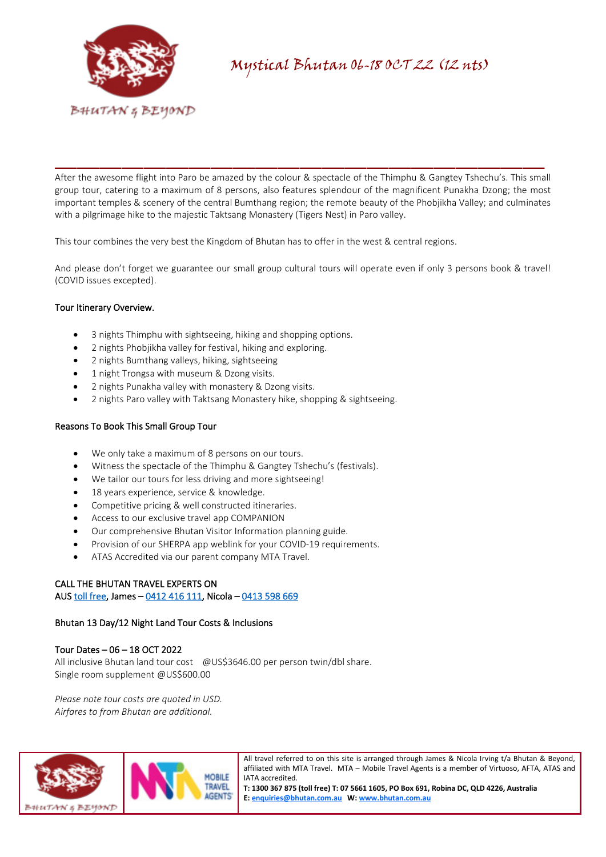

After the awesome flight into Paro be amazed by the colour & spectacle of the Thimphu & Gangtey Tshechu's. This small group tour, catering to a maximum of 8 persons, also features splendour of the magnificent Punakha Dzong; the most important temples & scenery of the central Bumthang region; the remote beauty of the Phobjikha Valley; and culminates with a pilgrimage hike to the majestic Taktsang Monastery (Tigers Nest) in Paro valley.

\_\_\_\_\_\_\_\_\_\_\_\_\_\_\_\_\_\_\_\_\_\_\_\_\_\_\_\_\_\_\_\_\_\_\_\_\_\_\_\_\_\_\_\_

This tour combines the very best the Kingdom of Bhutan has to offer in the west & central regions.

And please don't forget we guarantee our small group cultural tours will operate even if only 3 persons book & travel! (COVID issues excepted).

## Tour Itinerary Overview.

- 3 nights Thimphu with sightseeing, hiking and shopping options.
- 2 nights Phobjikha valley for festival, hiking and exploring.
- 2 nights Bumthang valleys, hiking, sightseeing
- 1 night Trongsa with museum & Dzong visits.
- 2 nights Punakha valley with monastery & Dzong visits.
- 2 nights Paro valley with Taktsang Monastery hike, shopping & sightseeing.

## Reasons To Book This Small Group Tour

- We only take a maximum of 8 persons on our tours.
- Witness the spectacle of the Thimphu & Gangtey Tshechu's (festivals).
- We tailor our tours for less driving and more sightseeing!
- 18 years experience, service & knowledge.
- Competitive pricing & well constructed itineraries.
- Access to our exclusive travel app COMPANION
- Our comprehensive Bhutan Visitor Information planning guide.
- Provision of our SHERPA app weblink for your COVID-19 requirements.
- ATAS Accredited via our parent company MTA Travel.

## CALL THE BHUTAN TRAVEL EXPERTS ON

AUS [toll free,](tel:1300%20367%20875) James – [0412 416 111,](tel:0412%20416%20111) Nicola [– 0413 598 669](tel:0413%20598%20669) 

## Bhutan 13 Day/12 Night Land Tour Costs & Inclusions

## Tour Dates – 06 – 18 OCT 2022

All inclusive Bhutan land tour cost @US\$3646.00 per person twin/dbl share. Single room supplement @US\$600.00

*Please note tour costs are quoted in USD. Airfares to from Bhutan are additional.*



All travel referred to on this site is arranged through James & Nicola Irving t/a Bhutan & Beyond, affiliated with MTA Travel. MTA – Mobile Travel Agents is a member of Virtuoso, AFTA, ATAS and IATA accredited.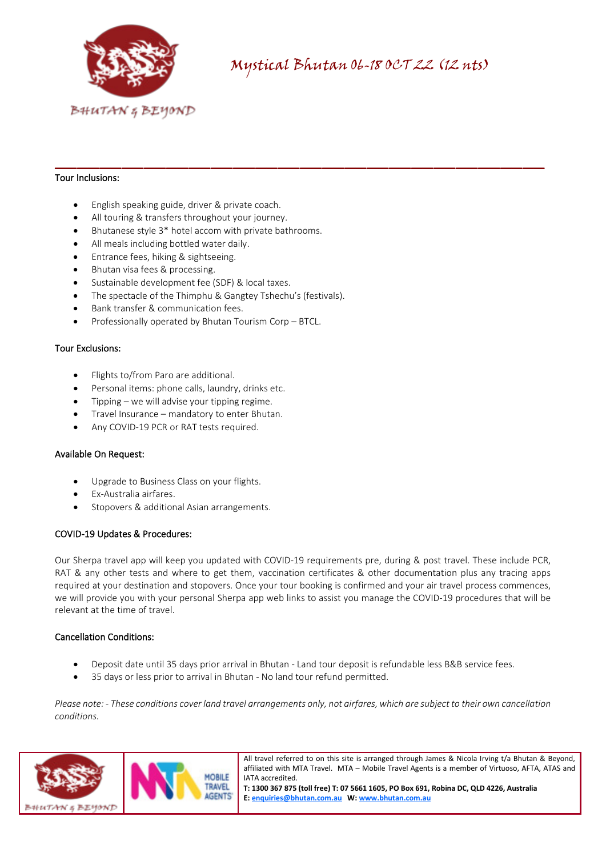

\_\_\_\_\_\_\_\_\_\_\_\_\_\_\_\_\_\_\_\_\_\_\_\_\_\_\_\_\_\_\_\_\_\_\_\_\_\_\_\_\_\_\_\_

## Tour Inclusions:

- English speaking guide, driver & private coach.
- All touring & transfers throughout your journey.
- Bhutanese style 3\* hotel accom with private bathrooms.
- All meals including bottled water daily.
- Entrance fees, hiking & sightseeing.
- Bhutan visa fees & processing.
- Sustainable development fee (SDF) & local taxes.
- The spectacle of the Thimphu & Gangtey Tshechu's (festivals).
- Bank transfer & communication fees.
- Professionally operated by Bhutan Tourism Corp BTCL.

## Tour Exclusions:

- Flights to/from Paro are additional.
- Personal items: phone calls, laundry, drinks etc.
- Tipping we will advise your tipping regime.
- Travel Insurance mandatory to enter Bhutan.
- Any COVID-19 PCR or RAT tests required.

## Available On Request:

- Upgrade to Business Class on your flights.
- Ex-Australia airfares.
- Stopovers & additional Asian arrangements.

## COVID-19 Updates & Procedures:

Our Sherpa travel app will keep you updated with COVID-19 requirements pre, during & post travel. These include PCR, RAT & any other tests and where to get them, vaccination certificates & other documentation plus any tracing apps required at your destination and stopovers. Once your tour booking is confirmed and your air travel process commences, we will provide you with your personal Sherpa app web links to assist you manage the COVID-19 procedures that will be relevant at the time of travel.

## Cancellation Conditions:

- Deposit date until 35 days prior arrival in Bhutan Land tour deposit is refundable less B&B service fees.
- 35 days or less prior to arrival in Bhutan No land tour refund permitted.

*Please note: - These conditions cover land travel arrangements only, not airfares, which are subject to their own cancellation conditions.*



All travel referred to on this site is arranged through James & Nicola Irving t/a Bhutan & Beyond, affiliated with MTA Travel. MTA – Mobile Travel Agents is a member of Virtuoso, AFTA, ATAS and IATA accredited.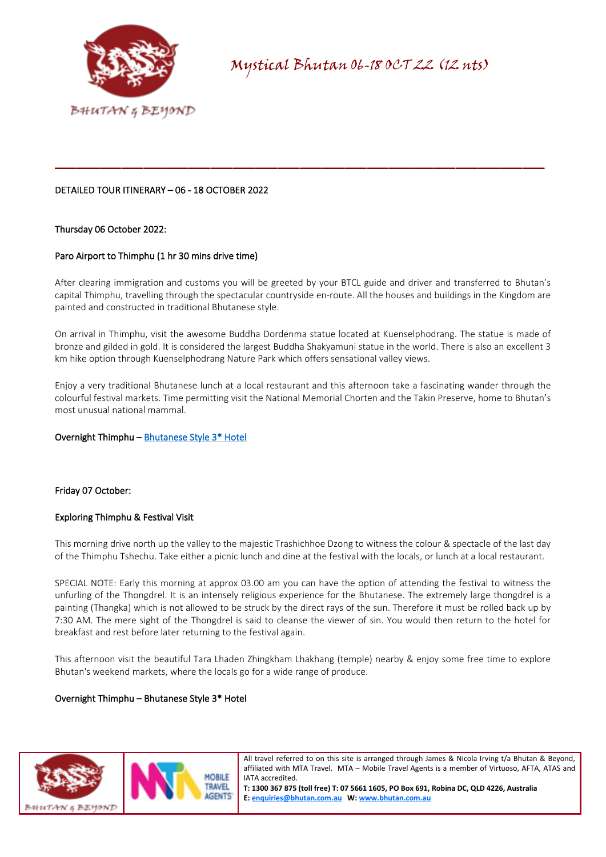

## DETAILED TOUR ITINERARY – 06 - 18 OCTOBER 2022

## Thursday 06 October 2022:

## Paro Airport to Thimphu (1 hr 30 mins drive time)

After clearing immigration and customs you will be greeted by your BTCL guide and driver and transferred to Bhutan's capital Thimphu, travelling through the spectacular countryside en-route. All the houses and buildings in the Kingdom are painted and constructed in traditional Bhutanese style.

\_\_\_\_\_\_\_\_\_\_\_\_\_\_\_\_\_\_\_\_\_\_\_\_\_\_\_\_\_\_\_\_\_\_\_\_\_\_\_\_\_\_\_\_

On arrival in Thimphu, visit the awesome Buddha Dordenma statue located at Kuenselphodrang. The statue is made of bronze and gilded in gold. It is considered the largest Buddha Shakyamuni statue in the world. There is also an excellent 3 km hike option through Kuenselphodrang Nature Park which offers sensational valley views.

Enjoy a very traditional Bhutanese lunch at a local restaurant and this afternoon take a fascinating wander through the colourful festival markets. Time permitting visit the National Memorial Chorten and the Takin Preserve, home to Bhutan's most unusual national mammal.

## Overnight Thimphu [– Bhutanese Style 3\\* Hotel](https://bhutan.com.au/thimphu-hotels/)

## Friday 07 October:

## Exploring Thimphu & Festival Visit

This morning drive north up the valley to the majestic Trashichhoe Dzong to witness the colour & spectacle of the last day of the Thimphu Tshechu. Take either a picnic lunch and dine at the festival with the locals, or lunch at a local restaurant.

SPECIAL NOTE: Early this morning at approx 03.00 am you can have the option of attending the festival to witness the unfurling of the Thongdrel. It is an intensely religious experience for the Bhutanese. The extremely large thongdrel is a painting (Thangka) which is not allowed to be struck by the direct rays of the sun. Therefore it must be rolled back up by 7:30 AM. The mere sight of the Thongdrel is said to cleanse the viewer of sin. You would then return to the hotel for breakfast and rest before later returning to the festival again.

This afternoon visit the beautiful Tara Lhaden Zhingkham Lhakhang (temple) nearby & enjoy some free time to explore Bhutan's weekend markets, where the locals go for a wide range of produce.

## Overnight Thimphu – Bhutanese Style 3\* Hotel



All travel referred to on this site is arranged through James & Nicola Irving t/a Bhutan & Beyond, affiliated with MTA Travel. MTA – Mobile Travel Agents is a member of Virtuoso, AFTA, ATAS and IATA accredited.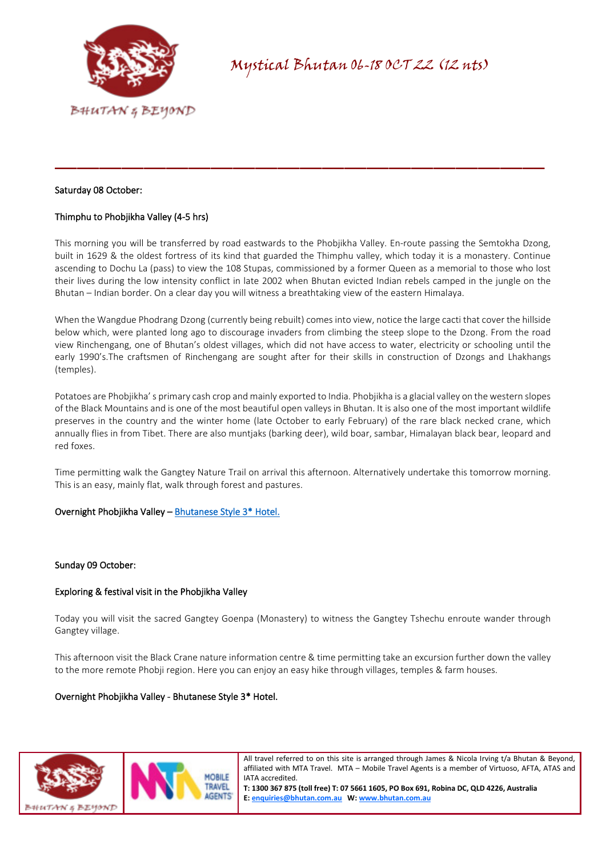

## Saturday 08 October:

## Thimphu to Phobjikha Valley (4-5 hrs)

This morning you will be transferred by road eastwards to the Phobjikha Valley. En-route passing the Semtokha Dzong, built in 1629 & the oldest fortress of its kind that guarded the Thimphu valley, which today it is a monastery. Continue ascending to Dochu La (pass) to view the 108 Stupas, commissioned by a former Queen as a memorial to those who lost their lives during the low intensity conflict in late 2002 when Bhutan evicted Indian rebels camped in the jungle on the Bhutan – Indian border. On a clear day you will witness a breathtaking view of the eastern Himalaya.

\_\_\_\_\_\_\_\_\_\_\_\_\_\_\_\_\_\_\_\_\_\_\_\_\_\_\_\_\_\_\_\_\_\_\_\_\_\_\_\_\_\_\_\_

When the Wangdue Phodrang Dzong (currently being rebuilt) comes into view, notice the large cacti that cover the hillside below which, were planted long ago to discourage invaders from climbing the steep slope to the Dzong. From the road view Rinchengang, one of Bhutan's oldest villages, which did not have access to water, electricity or schooling until the early 1990's.The craftsmen of Rinchengang are sought after for their skills in construction of Dzongs and Lhakhangs (temples).

Potatoes are Phobjikha' s primary cash crop and mainly exported to India. Phobjikha is a glacial valley on the western slopes of the Black Mountains and is one of the most beautiful open valleys in Bhutan. It is also one of the most important wildlife preserves in the country and the winter home (late October to early February) of the rare black necked crane, which annually flies in from Tibet. There are also muntjaks (barking deer), wild boar, sambar, Himalayan black bear, leopard and red foxes.

Time permitting walk the Gangtey Nature Trail on arrival this afternoon. Alternatively undertake this tomorrow morning. This is an easy, mainly flat, walk through forest and pastures.

## Overnight Phobjikha Valley [– Bhutanese Style 3\\* Hotel.](https://bhutan.com.au/phobjikha-valley-hotels/)

## Sunday 09 October:

## Exploring & festival visit in the Phobjikha Valley

Today you will visit the sacred Gangtey Goenpa (Monastery) to witness the Gangtey Tshechu enroute wander through Gangtey village.

This afternoon visit the Black Crane nature information centre & time permitting take an excursion further down the valley to the more remote Phobji region. Here you can enjoy an easy hike through villages, temples & farm houses.

## Overnight Phobjikha Valley - Bhutanese Style 3\* Hotel.



All travel referred to on this site is arranged through James & Nicola Irving t/a Bhutan & Beyond, affiliated with MTA Travel. MTA – Mobile Travel Agents is a member of Virtuoso, AFTA, ATAS and IATA accredited.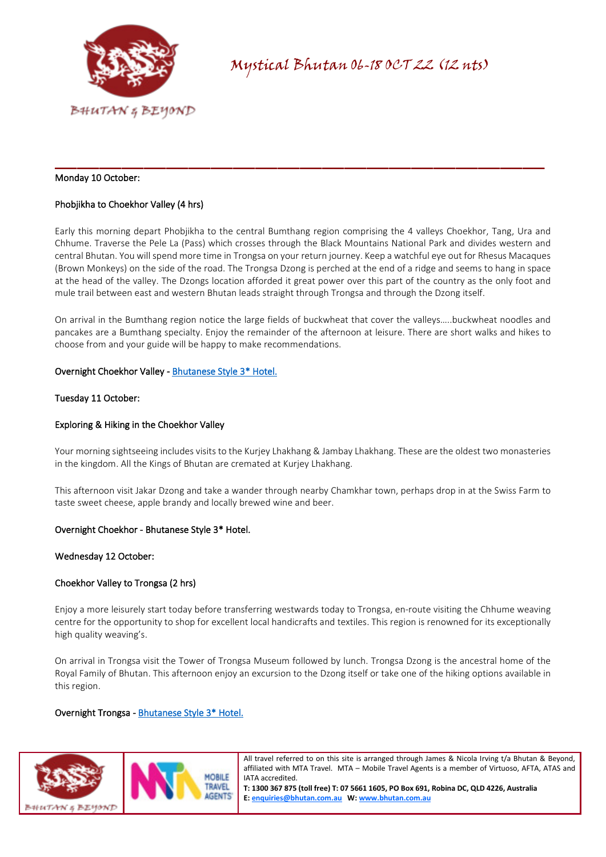

## Monday 10 October:

## Phobjikha to Choekhor Valley (4 hrs)

Early this morning depart Phobjikha to the central Bumthang region comprising the 4 valleys Choekhor, Tang, Ura and Chhume. Traverse the Pele La (Pass) which crosses through the Black Mountains National Park and divides western and central Bhutan. You will spend more time in Trongsa on your return journey. Keep a watchful eye out for Rhesus Macaques (Brown Monkeys) on the side of the road. The Trongsa Dzong is perched at the end of a ridge and seems to hang in space at the head of the valley. The Dzongs location afforded it great power over this part of the country as the only foot and mule trail between east and western Bhutan leads straight through Trongsa and through the Dzong itself.

\_\_\_\_\_\_\_\_\_\_\_\_\_\_\_\_\_\_\_\_\_\_\_\_\_\_\_\_\_\_\_\_\_\_\_\_\_\_\_\_\_\_\_\_

On arrival in the Bumthang region notice the large fields of buckwheat that cover the valleys…..buckwheat noodles and pancakes are a Bumthang specialty. Enjoy the remainder of the afternoon at leisure. There are short walks and hikes to choose from and your guide will be happy to make recommendations.

Overnight Choekhor Valley - [Bhutanese Style 3\\* Hotel.](https://bhutan.com.au/choekhor-valley-hotels/) 

## Tuesday 11 October:

## Exploring & Hiking in the Choekhor Valley

Your morning sightseeing includes visits to the Kurjey Lhakhang & Jambay Lhakhang. These are the oldest two monasteries in the kingdom. All the Kings of Bhutan are cremated at Kurjey Lhakhang.

This afternoon visit Jakar Dzong and take a wander through nearby Chamkhar town, perhaps drop in at the Swiss Farm to taste sweet cheese, apple brandy and locally brewed wine and beer.

## Overnight Choekhor - Bhutanese Style 3\* Hotel.

## Wednesday 12 October:

## Choekhor Valley to Trongsa (2 hrs)

Enjoy a more leisurely start today before transferring westwards today to Trongsa, en-route visiting the Chhume weaving centre for the opportunity to shop for excellent local handicrafts and textiles. This region is renowned for its exceptionally high quality weaving's.

On arrival in Trongsa visit the Tower of Trongsa Museum followed by lunch. Trongsa Dzong is the ancestral home of the Royal Family of Bhutan. This afternoon enjoy an excursion to the Dzong itself or take one of the hiking options available in this region.

## Overnight Trongsa - [Bhutanese Style 3\\* Hotel.](https://bhutan.com.au/trongsa-hotels/)



All travel referred to on this site is arranged through James & Nicola Irving t/a Bhutan & Beyond, affiliated with MTA Travel. MTA – Mobile Travel Agents is a member of Virtuoso, AFTA, ATAS and IATA accredited.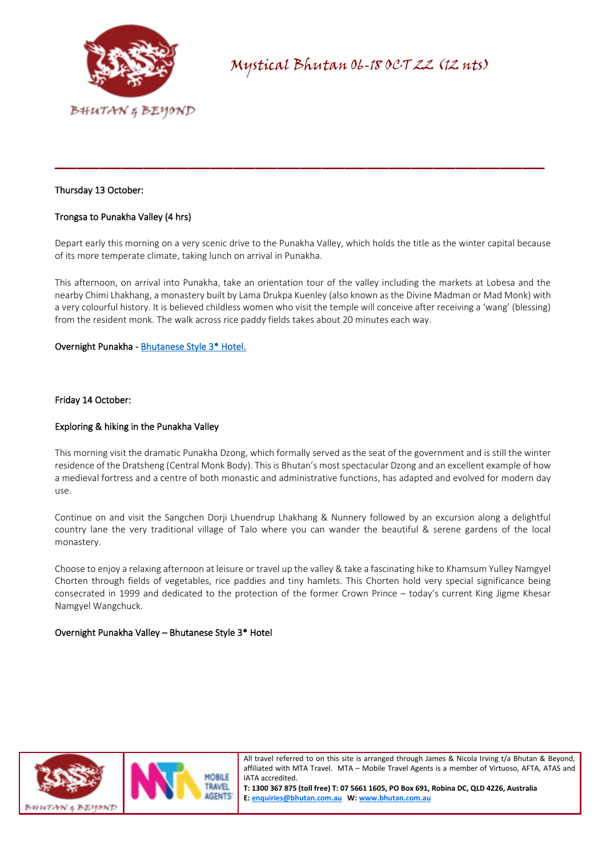

## Thursday 13 October:

## Trongsa to Punakha Valley (4 hrs)

Depart early this morning on a very scenic drive to the Punakha Valley, which holds the title as the winter capital because of its more temperate climate, taking lunch on arrival in Punakha.

\_\_\_\_\_\_\_\_\_\_\_\_\_\_\_\_\_\_\_\_\_\_\_\_\_\_\_\_\_\_\_\_\_\_\_\_\_\_\_\_\_\_\_\_

This afternoon, on arrival into Punakha, take an orientation tour of the valley including the markets at Lobesa and the nearby Chimi Lhakhang, a monastery built by Lama Drukpa Kuenley (also known as the Divine Madman or Mad Monk) with a very colourful history. It is believed childless women who visit the temple will conceive after receiving a 'wang' (blessing) from the resident monk. The walk across rice paddy fields takes about 20 minutes each way.

Overnight Punakha [- Bhutanese Style 3\\* Hotel.](https://bhutan.com.au/punakha-valley-hotel/) 

## Friday 14 October:

#### Exploring & hiking in the Punakha Valley

This morning visit the dramatic Punakha Dzong, which formally served as the seat of the government and is still the winter residence of the Dratsheng (Central Monk Body). This is Bhutan's most spectacular Dzong and an excellent example of how a medieval fortress and a centre of both monastic and administrative functions, has adapted and evolved for modern day use.

Continue on and visit the Sangchen Dorji Lhuendrup Lhakhang & Nunnery followed by an excursion along a delightful country lane the very traditional village of Talo where you can wander the beautiful & serene gardens of the local monastery.

Choose to enjoy a relaxing afternoon at leisure or travel up the valley & take a fascinating hike to Khamsum Yulley Namgyel Chorten through fields of vegetables, rice paddies and tiny hamlets. This Chorten hold very special significance being consecrated in 1999 and dedicated to the protection of the former Crown Prince – today's current King Jigme Khesar Namgyel Wangchuck.

## Overnight Punakha Valley – Bhutanese Style 3\* Hotel



All travel referred to on this site is arranged through James & Nicola Irving t/a Bhutan & Beyond, affiliated with MTA Travel. MTA – Mobile Travel Agents is a member of Virtuoso, AFTA, ATAS and IATA accredited.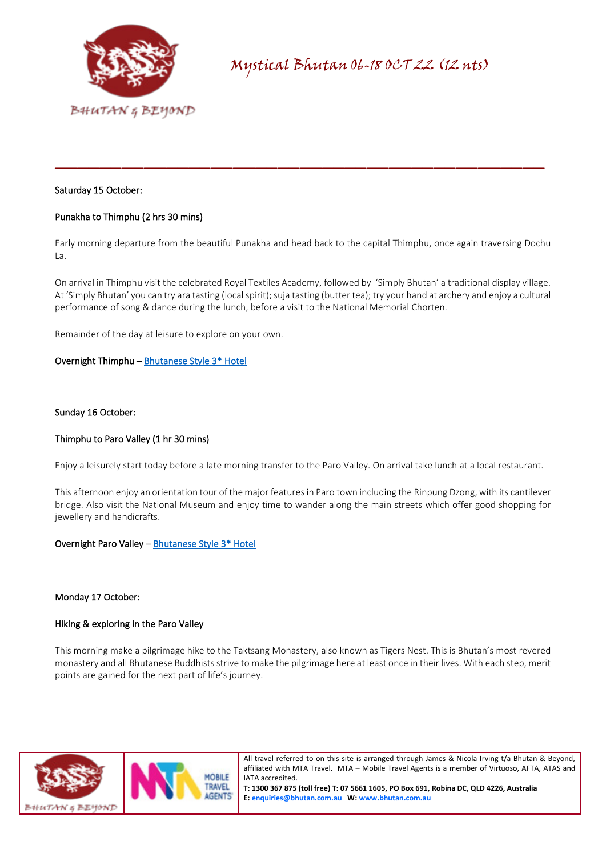

## Saturday 15 October:

## Punakha to Thimphu (2 hrs 30 mins)

Early morning departure from the beautiful Punakha and head back to the capital Thimphu, once again traversing Dochu La.

\_\_\_\_\_\_\_\_\_\_\_\_\_\_\_\_\_\_\_\_\_\_\_\_\_\_\_\_\_\_\_\_\_\_\_\_\_\_\_\_\_\_\_\_

On arrival in Thimphu visit the celebrated Royal Textiles Academy, followed by 'Simply Bhutan' a traditional display village. At 'Simply Bhutan' you can try ara tasting (local spirit); suja tasting (butter tea); try your hand at archery and enjoy a cultural performance of song & dance during the lunch, before a visit to the National Memorial Chorten.

Remainder of the day at leisure to explore on your own.

## Overnight Thimphu [– Bhutanese Style 3\\* Hotel](https://bhutan.com.au/thimphu-hotels/)

## Sunday 16 October:

## Thimphu to Paro Valley (1 hr 30 mins)

Enjoy a leisurely start today before a late morning transfer to the Paro Valley. On arrival take lunch at a local restaurant.

This afternoon enjoy an orientation tour of the major features in Paro town including the Rinpung Dzong, with its cantilever bridge. Also visit the National Museum and enjoy time to wander along the main streets which offer good shopping for jewellery and handicrafts.

## Overnight Paro Valley [– Bhutanese Style 3\\* Hotel](https://bhutan.com.au/paro-valley-hotels/)

## Monday 17 October:

## Hiking & exploring in the Paro Valley

This morning make a pilgrimage hike to the Taktsang Monastery, also known as Tigers Nest. This is Bhutan's most revered monastery and all Bhutanese Buddhists strive to make the pilgrimage here at least once in their lives. With each step, merit points are gained for the next part of life's journey.



All travel referred to on this site is arranged through James & Nicola Irving t/a Bhutan & Beyond, affiliated with MTA Travel. MTA – Mobile Travel Agents is a member of Virtuoso, AFTA, ATAS and IATA accredited.